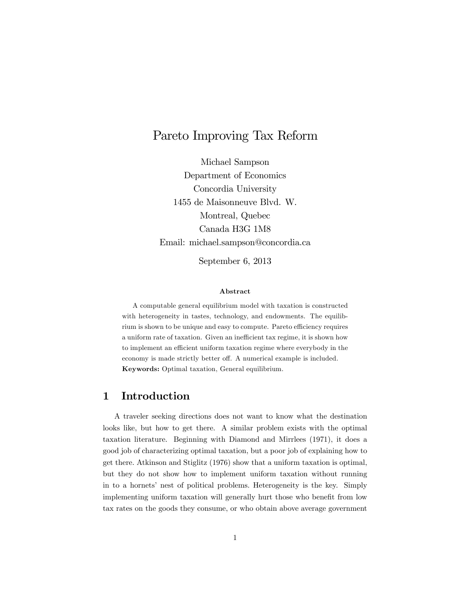# Pareto Improving Tax Reform

Michael Sampson Department of Economics Concordia University 1455 de Maisonneuve Blvd. W. Montreal, Quebec Canada H3G 1M8 Email: michael.sampson@concordia.ca

September 6, 2013

#### Abstract

A computable general equilibrium model with taxation is constructed with heterogeneity in tastes, technology, and endowments. The equilibrium is shown to be unique and easy to compute. Pareto efficiency requires a uniform rate of taxation. Given an inefficient tax regime, it is shown how to implement an efficient uniform taxation regime where everybody in the economy is made strictly better off. A numerical example is included. Keywords: Optimal taxation, General equilibrium.

### 1 Introduction

A traveler seeking directions does not want to know what the destination looks like, but how to get there. A similar problem exists with the optimal taxation literature. Beginning with Diamond and Mirrlees (1971), it does a good job of characterizing optimal taxation, but a poor job of explaining how to get there. Atkinson and Stiglitz (1976) show that a uniform taxation is optimal, but they do not show how to implement uniform taxation without running in to a hornets' nest of political problems. Heterogeneity is the key. Simply implementing uniform taxation will generally hurt those who benefit from low tax rates on the goods they consume, or who obtain above average government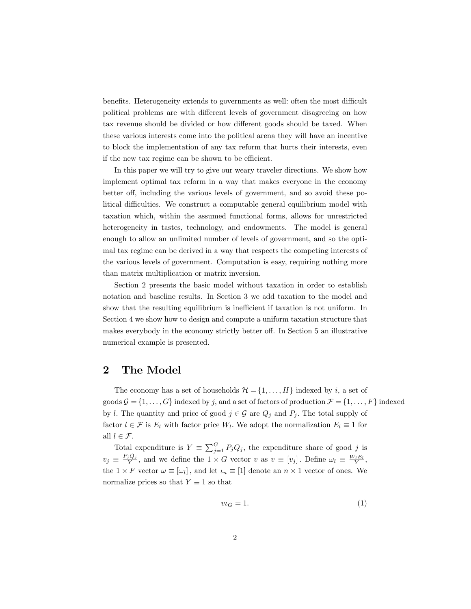benefits. Heterogeneity extends to governments as well: often the most difficult political problems are with different levels of government disagreeing on how tax revenue should be divided or how different goods should be taxed. When these various interests come into the political arena they will have an incentive to block the implementation of any tax reform that hurts their interests, even if the new tax regime can be shown to be efficient.

In this paper we will try to give our weary traveler directions. We show how implement optimal tax reform in a way that makes everyone in the economy better off, including the various levels of government, and so avoid these political difficulties. We construct a computable general equilibrium model with taxation which, within the assumed functional forms, allows for unrestricted heterogeneity in tastes, technology, and endowments. The model is general enough to allow an unlimited number of levels of government, and so the optimal tax regime can be derived in a way that respects the competing interests of the various levels of government. Computation is easy, requiring nothing more than matrix multiplication or matrix inversion.

Section 2 presents the basic model without taxation in order to establish notation and baseline results. In Section 3 we add taxation to the model and show that the resulting equilibrium is inefficient if taxation is not uniform. In Section 4 we show how to design and compute a uniform taxation structure that makes everybody in the economy strictly better off. In Section 5 an illustrative numerical example is presented.

### 2 The Model

The economy has a set of households  $\mathcal{H} = \{1, \ldots, H\}$  indexed by i, a set of goods  $\mathcal{G} = \{1, \ldots, G\}$  indexed by j, and a set of factors of production  $\mathcal{F} = \{1, \ldots, F\}$  indexed by l. The quantity and price of good  $j \in \mathcal{G}$  are  $Q_j$  and  $P_j$ . The total supply of factor  $l \in \mathcal{F}$  is  $E_l$  with factor price  $W_l$ . We adopt the normalization  $E_l \equiv 1$  for all  $l \in \mathcal{F}$ .

Total expenditure is  $Y \equiv \sum_{j=1}^{G} P_j Q_j$ , the expenditure share of good j is  $v_j \equiv \frac{P_j Q_j}{Y}$ , and we define the  $1 \times G$  vector v as  $v \equiv [v_j]$ . Define  $\omega_l \equiv \frac{W_l E_l}{Y}$ , the  $1 \times F$  vector  $\omega \equiv [\omega_l]$ , and let  $\iota_n \equiv [1]$  denote an  $n \times 1$  vector of ones. We normalize prices so that  $Y \equiv 1$  so that

$$
v \iota_G = 1. \tag{1}
$$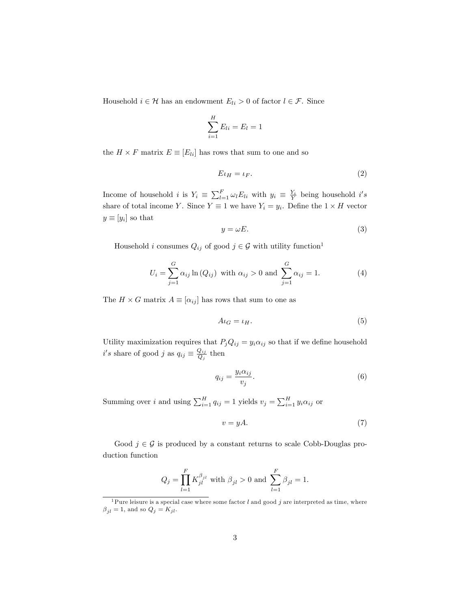Household  $i \in \mathcal{H}$  has an endowment  $E_{li} > 0$  of factor  $l \in \mathcal{F}$ . Since

$$
\sum_{i=1}^{H} E_{li} = E_l = 1
$$

the  $H \times F$  matrix  $E \equiv [E_{li}]$  has rows that sum to one and so

$$
E\iota_H = \iota_F. \tag{2}
$$

Income of household *i* is  $Y_i \equiv \sum_{l=1}^F \omega_l E_{li}$  with  $y_i \equiv \frac{Y_i}{Y}$  being household *i's* share of total income Y. Since  $Y \equiv 1$  we have  $Y_i = y_i$ . Define the  $1 \times H$  vector  $y \equiv [y_i]$  so that

$$
y = \omega E. \tag{3}
$$

Household *i* consumes  $Q_{ij}$  of good  $j \in \mathcal{G}$  with utility function<sup>1</sup>

$$
U_i = \sum_{j=1}^{G} \alpha_{ij} \ln(Q_{ij}) \text{ with } \alpha_{ij} > 0 \text{ and } \sum_{j=1}^{G} \alpha_{ij} = 1.
$$
 (4)

The  $H \times G$  matrix  $A \equiv [\alpha_{ij}]$  has rows that sum to one as

$$
A\iota_G = \iota_H. \tag{5}
$$

Utility maximization requires that  $P_jQ_{ij} = y_i\alpha_{ij}$  so that if we define household  $i's$  share of good j as  $q_{ij} \equiv \frac{Q_{ij}}{Q_j}$  $\frac{q_{ij}}{Q_j}$  then

$$
q_{ij} = \frac{y_i \alpha_{ij}}{v_j}.
$$
\n<sup>(6)</sup>

Summing over *i* and using  $\sum_{i=1}^{H} q_{ij} = 1$  yields  $v_j = \sum_{i=1}^{H} y_i \alpha_{ij}$  or

$$
v = yA.\t\t(7)
$$

Good  $j \in \mathcal{G}$  is produced by a constant returns to scale Cobb-Douglas production function

$$
Q_j = \prod_{l=1}^F K_{jl}^{\beta_{jl}}
$$
 with  $\beta_{jl} > 0$  and  $\sum_{l=1}^F \beta_{jl} = 1$ .

<sup>&</sup>lt;sup>1</sup>Pure leisure is a special case where some factor  $l$  and good  $j$  are interpreted as time, where  $\beta_{jl}$  = 1, and so  $Q_j$  =  $K_{jl}.$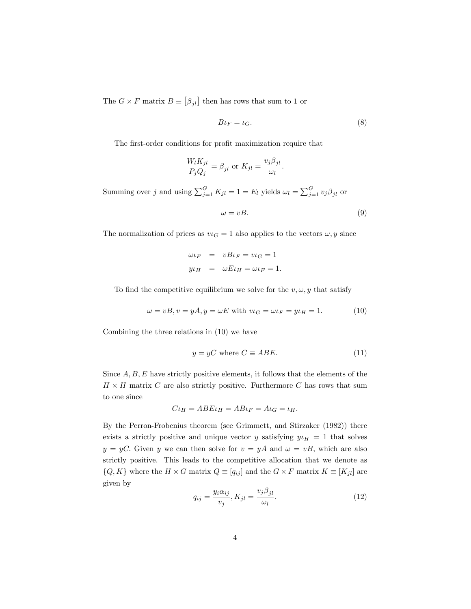The  $G\times F$  matrix  $B\equiv \left[ \beta _{jl}\right]$  then has rows that sum to 1 or

$$
B\iota_F = \iota_G. \tag{8}
$$

The first-order conditions for profit maximization require that

$$
\frac{W_l K_{jl}}{P_j Q_j} = \beta_{jl} \text{ or } K_{jl} = \frac{v_j \beta_{jl}}{\omega_l}.
$$

Summing over j and using  $\sum_{j=1}^{G} K_{jl} = 1 = E_l$  yields  $\omega_l = \sum_{j=1}^{G} v_j \beta_{jl}$  or

$$
\omega = vB. \tag{9}
$$

The normalization of prices as  $v \iota_G = 1$  also applies to the vectors  $\omega, y$  since

$$
\omega \iota_F = vB \iota_F = v \iota_G = 1
$$
  

$$
y \iota_H = \omega E \iota_H = \omega \iota_F = 1.
$$

To find the competitive equilibrium we solve for the  $v, \omega, y$  that satisfy

$$
\omega = vB, v = yA, y = \omega E \text{ with } v \iota_G = \omega \iota_F = y \iota_H = 1. \tag{10}
$$

Combining the three relations in (10) we have

$$
y = yC \text{ where } C \equiv ABE. \tag{11}
$$

Since  $A, B, E$  have strictly positive elements, it follows that the elements of the  $H \times H$  matrix C are also strictly positive. Furthermore C has rows that sum to one since

$$
C\iota_H = A B E \iota_H = A B \iota_F = A \iota_G = \iota_H.
$$

By the Perron-Frobenius theorem (see Grimmett, and Stirzaker (1982)) there exists a strictly positive and unique vector y satisfying  $y \iota_H = 1$  that solves  $y = yC$ . Given y we can then solve for  $v = yA$  and  $\omega = vB$ , which are also strictly positive. This leads to the competitive allocation that we denote as  $\{Q, K\}$  where the  $H \times G$  matrix  $Q \equiv [q_{ij}]$  and the  $G \times F$  matrix  $K \equiv [K_{jl}]$  are given by

$$
q_{ij} = \frac{y_i \alpha_{ij}}{v_j}, K_{jl} = \frac{v_j \beta_{jl}}{\omega_l}.
$$
\n(12)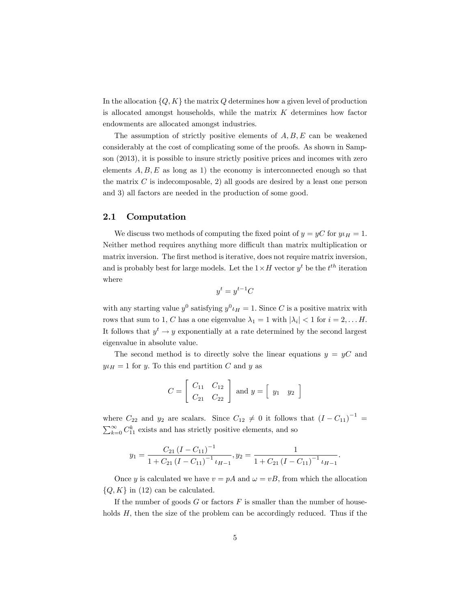In the allocation  $\{Q, K\}$  the matrix Q determines how a given level of production is allocated amongst households, while the matrix  $K$  determines how factor endowments are allocated amongst industries.

The assumption of strictly positive elements of  $A, B, E$  can be weakened considerably at the cost of complicating some of the proofs. As shown in Sampson (2013), it is possible to insure strictly positive prices and incomes with zero elements  $A, B, E$  as long as 1) the economy is interconnected enough so that the matrix  $C$  is indecomposable, 2) all goods are desired by a least one person and 3) all factors are needed in the production of some good.

#### 2.1 Computation

We discuss two methods of computing the fixed point of  $y = yC$  for  $y_H = 1$ . Neither method requires anything more difficult than matrix multiplication or matrix inversion. The first method is iterative, does not require matrix inversion, and is probably best for large models. Let the  $1 \times H$  vector  $y^t$  be the  $t^{th}$  iteration where

$$
y^t = y^{t-1}C
$$

with any starting value  $y^0$  satisfying  $y^0 \iota_H = 1$ . Since C is a positive matrix with rows that sum to 1, C has a one eigenvalue  $\lambda_1 = 1$  with  $|\lambda_i| < 1$  for  $i = 2, \dots H$ . It follows that  $y^t \rightarrow y$  exponentially at a rate determined by the second largest eigenvalue in absolute value.

The second method is to directly solve the linear equations  $y = yC$  and  $y \mu_H = 1$  for y. To this end partition C and y as

$$
C = \left[ \begin{array}{cc} C_{11} & C_{12} \\ C_{21} & C_{22} \end{array} \right] \text{ and } y = \left[ \begin{array}{cc} y_1 & y_2 \end{array} \right]
$$

where  $C_{22}$  and  $y_2$  are scalars. Since  $C_{12} \neq 0$  it follows that  $(I - C_{11})^{-1} =$  $\sum_{k=0}^{\infty} C_{11}^{k}$  exists and has strictly positive elements, and so

$$
y_1 = \frac{C_{21} (I - C_{11})^{-1}}{1 + C_{21} (I - C_{11})^{-1} \iota_{H-1}}, y_2 = \frac{1}{1 + C_{21} (I - C_{11})^{-1} \iota_{H-1}}.
$$

Once y is calculated we have  $v = pA$  and  $\omega = vB$ , from which the allocation  $\{Q, K\}$  in (12) can be calculated.

If the number of goods  $G$  or factors  $F$  is smaller than the number of households  $H$ , then the size of the problem can be accordingly reduced. Thus if the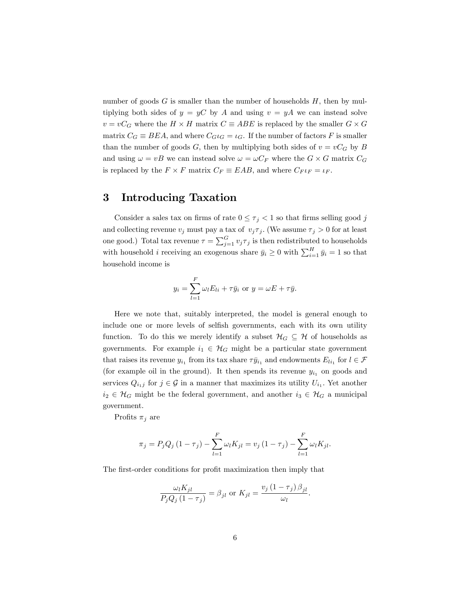number of goods  $G$  is smaller than the number of households  $H$ , then by multiplying both sides of  $y = yC$  by A and using  $v = yA$  we can instead solve  $v = vC_G$  where the  $H \times H$  matrix  $C \equiv ABE$  is replaced by the smaller  $G \times G$ matrix  $C_G \equiv BEA$ , and where  $C_G \iota_G = \iota_G$ . If the number of factors F is smaller than the number of goods G, then by multiplying both sides of  $v = vC_G$  by B and using  $\omega = vB$  we can instead solve  $\omega = \omega C_F$  where the  $G \times G$  matrix  $C_G$ is replaced by the  $F \times F$  matrix  $C_F \equiv EAB$ , and where  $C_F \iota_F = \iota_F$ .

### 3 Introducing Taxation

Consider a sales tax on firms of rate  $0 \leq \tau_j < 1$  so that firms selling good j and collecting revenue  $v_j$  must pay a tax of  $v_j \tau_j$ . (We assume  $\tau_j > 0$  for at least one good.) Total tax revenue  $\tau = \sum_{j=1}^{G} v_j \tau_j$  is then redistributed to households with household *i* receiving an exogenous share  $\bar{y}_i \ge 0$  with  $\sum_{i=1}^H \bar{y}_i = 1$  so that household income is

$$
y_i = \sum_{l=1}^{F} \omega_l E_{li} + \tau \bar{y}_i \text{ or } y = \omega E + \tau \bar{y}.
$$

Here we note that, suitably interpreted, the model is general enough to include one or more levels of selfish governments, each with its own utility function. To do this we merely identify a subset  $\mathcal{H}_G \subseteq \mathcal{H}$  of households as governments. For example  $i_1 \in \mathcal{H}_G$  might be a particular state government that raises its revenue  $y_{i_1}$  from its tax share  $\tau \bar{y}_{i_1}$  and endowments  $E_{li_1}$  for  $l \in \mathcal{F}$ (for example oil in the ground). It then spends its revenue  $y_{i_1}$  on goods and services  $Q_{i_1j}$  for  $j \in \mathcal{G}$  in a manner that maximizes its utility  $U_{i_1}$ . Yet another  $i_2 \in \mathcal{H}_G$  might be the federal government, and another  $i_3 \in \mathcal{H}_G$  a municipal government.

Profits  $\pi_j$  are

$$
\pi_j = P_j Q_j (1 - \tau_j) - \sum_{l=1}^{F} \omega_l K_{jl} = v_j (1 - \tau_j) - \sum_{l=1}^{F} \omega_l K_{jl}.
$$

The first-order conditions for profit maximization then imply that

$$
\frac{\omega_l K_{jl}}{P_j Q_j (1 - \tau_j)} = \beta_{jl} \text{ or } K_{jl} = \frac{v_j (1 - \tau_j) \beta_{jl}}{\omega_l}.
$$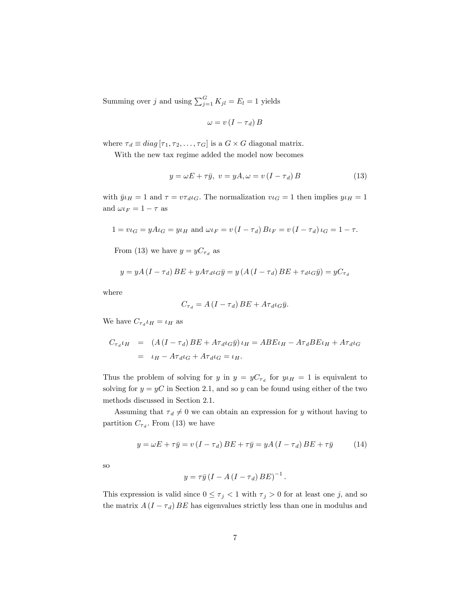Summing over j and using  $\sum_{j=1}^{G} K_{jl} = E_l = 1$  yields

$$
\omega = v \left( I - \tau_d \right) B
$$

where  $\tau_d \equiv diag\left[\tau_1, \tau_2, \ldots, \tau_G\right]$  is a  $G \times G$  diagonal matrix.

With the new tax regime added the model now becomes

$$
y = \omega E + \tau \bar{y}, \ v = yA, \omega = v(I - \tau_d)B \tag{13}
$$

with  $\bar{y} \iota_H = 1$  and  $\tau = v \tau_d \iota_G$ . The normalization  $v \iota_G = 1$  then implies  $y \iota_H = 1$ and  $\omega \iota_F = 1 - \tau$  as

$$
1 = v \iota_G = y \Lambda \iota_G = y \iota_H
$$
 and  $\omega \iota_F = v (I - \tau_d) B \iota_F = v (I - \tau_d) \iota_G = 1 - \tau$ .

From (13) we have  $y = yC_{\tau_d}$  as

$$
y = yA(I - \tau_d)BE + yA\tau_d \iota_G \bar{y} = y(A(I - \tau_d)BE + \tau_d \iota_G \bar{y}) = yC_{\tau_d}
$$

where

$$
C_{\tau_d} = A (I - \tau_d) BE + A \tau_d \iota_G \bar{y}.
$$

We have  $C_{\tau_d} \iota_H = \iota_H$  as

$$
C_{\tau_d}\iota_H = (A(I - \tau_d)BE + A\tau_d\iota_G\bar{y})\iota_H = ABE\iota_H - A\tau_dBE\iota_H + A\tau_d\iota_G
$$
  
=  $\iota_H - A\tau_d\iota_G + A\tau_d\iota_G = \iota_H.$ 

Thus the problem of solving for y in  $y = yC_{\tau_d}$  for  $y \mu_H = 1$  is equivalent to solving for  $y = yC$  in Section 2.1, and so y can be found using either of the two methods discussed in Section 2.1.

Assuming that  $\tau_d \neq 0$  we can obtain an expression for y without having to partition  $C_{\tau_d}$ . From (13) we have

$$
y = \omega E + \tau \bar{y} = v(I - \tau_d) BE + \tau \bar{y} = yA(I - \tau_d) BE + \tau \bar{y}
$$
 (14)

so

$$
y = \tau \bar{y} (I - A (I - \tau_d) BE)^{-1}.
$$

This expression is valid since  $0 \leq \tau_j < 1$  with  $\tau_j > 0$  for at least one j, and so the matrix  $A(I - \tau_d) BE$  has eigenvalues strictly less than one in modulus and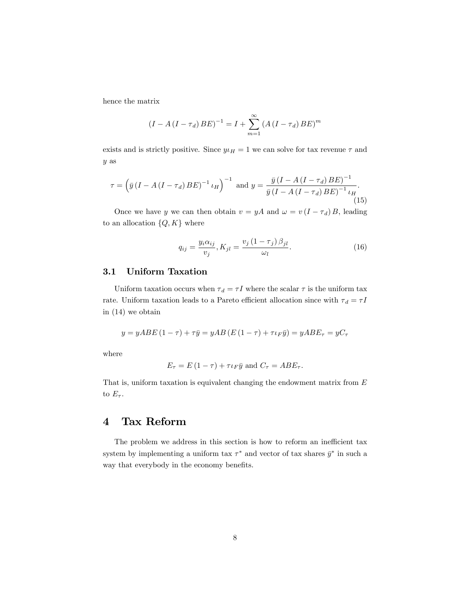hence the matrix

$$
(I - A (I - \tau_d) BE)^{-1} = I + \sum_{m=1}^{\infty} (A (I - \tau_d) BE)^m
$$

exists and is strictly positive. Since  $y\mu = 1$  we can solve for tax revenue  $\tau$  and y as

$$
\tau = \left(\bar{y}\left(I - A\left(I - \tau_d\right)BE\right)^{-1}\iota_H\right)^{-1} \text{ and } y = \frac{\bar{y}\left(I - A\left(I - \tau_d\right)BE\right)^{-1}}{\bar{y}\left(I - A\left(I - \tau_d\right)BE\right)^{-1}\iota_H}.
$$
\n(15)

Once we have y we can then obtain  $v = yA$  and  $\omega = v(I - \tau_d)B$ , leading to an allocation  $\{Q, K\}$  where

$$
q_{ij} = \frac{y_i \alpha_{ij}}{v_j}, K_{jl} = \frac{v_j (1 - \tau_j) \beta_{jl}}{\omega_l}.
$$
\n(16)

#### 3.1 Uniform Taxation

Uniform taxation occurs when  $\tau_d = \tau I$  where the scalar  $\tau$  is the uniform tax rate. Uniform taxation leads to a Pareto efficient allocation since with  $\tau_d = \tau I$ in (14) we obtain

$$
y = yABE(1 - \tau) + \tau \bar{y} = yAB(E(1 - \tau) + \tau \iota_F \bar{y}) = yABE_{\tau} = yC_{\tau}
$$

where

$$
E_{\tau} = E(1 - \tau) + \tau \iota_F \bar{y} \text{ and } C_{\tau} = A B E_{\tau}.
$$

That is, uniform taxation is equivalent changing the endowment matrix from  $E$ to  $E_{\tau}$ .

## 4 Tax Reform

The problem we address in this section is how to reform an inefficient tax system by implementing a uniform tax  $\tau^*$  and vector of tax shares  $\bar{y}^*$  in such a way that everybody in the economy benefits.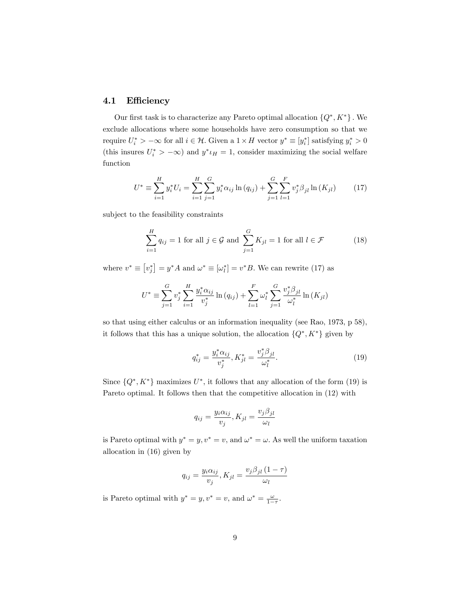### 4.1 Efficiency

Our first task is to characterize any Pareto optimal allocation  $\{Q^*, K^*\}$ . We exclude allocations where some households have zero consumption so that we require  $U_i^*$  >  $-\infty$  for all  $i \in \mathcal{H}$ . Given a  $1 \times H$  vector  $y^* \equiv [y_i^*]$  satisfying  $y_i^*$  > 0 (this insures  $U_i^*$  >  $-\infty$ ) and  $y^* \iota_H = 1$ , consider maximizing the social welfare function

$$
U^* \equiv \sum_{i=1}^H y_i^* U_i = \sum_{i=1}^H \sum_{j=1}^G y_i^* \alpha_{ij} \ln(q_{ij}) + \sum_{j=1}^G \sum_{l=1}^F v_j^* \beta_{jl} \ln(K_{jl}) \qquad (17)
$$

subject to the feasibility constraints

$$
\sum_{i=1}^{H} q_{ij} = 1 \text{ for all } j \in \mathcal{G} \text{ and } \sum_{j=1}^{G} K_{jl} = 1 \text{ for all } l \in \mathcal{F}
$$
 (18)

where  $v^* \equiv [v_j^*] = y^* A$  and  $\omega^* \equiv [\omega_l^*] = v^* B$ . We can rewrite (17) as

$$
U^* \equiv \sum_{j=1}^{G} v_j^* \sum_{i=1}^{H} \frac{y_i^* \alpha_{ij}}{v_j^*} \ln(q_{ij}) + \sum_{l=1}^{F} \omega_l^* \sum_{j=1}^{G} \frac{v_j^* \beta_{jl}}{\omega_l^*} \ln(K_{jl})
$$

so that using either calculus or an information inequality (see Rao, 1973, p 58), it follows that this has a unique solution, the allocation  $\{Q^*, K^*\}$  given by

$$
q_{ij}^* = \frac{y_i^* \alpha_{ij}}{v_j^*}, K_{jl}^* = \frac{v_j^* \beta_{jl}}{\omega_l^*}.
$$
 (19)

Since  $\{Q^*, K^*\}$  maximizes  $U^*$ , it follows that any allocation of the form (19) is Pareto optimal. It follows then that the competitive allocation in (12) with

$$
q_{ij} = \frac{y_i \alpha_{ij}}{v_j}, K_{jl} = \frac{v_j \beta_{jl}}{\omega_l}
$$

is Pareto optimal with  $y^* = y, v^* = v$ , and  $\omega^* = \omega$ . As well the uniform taxation allocation in (16) given by

$$
q_{ij} = \frac{y_i \alpha_{ij}}{v_j}, K_{jl} = \frac{v_j \beta_{jl} (1 - \tau)}{\omega_l}
$$

is Pareto optimal with  $y^* = y$ ,  $v^* = v$ , and  $\omega^* = \frac{\omega}{1 - \tau}$ .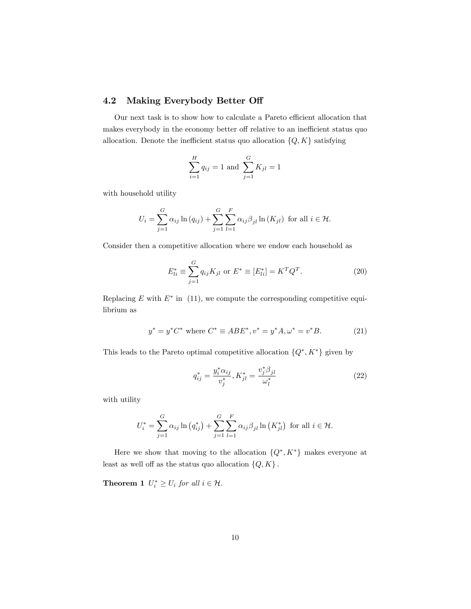### 4.2 Making Everybody Better Off

Our next task is to show how to calculate a Pareto efficient allocation that makes everybody in the economy better off relative to an inefficient status quo allocation. Denote the inefficient status quo allocation  $\{Q, K\}$  satisfying

$$
\sum_{i=1}^{H} q_{ij} = 1
$$
 and 
$$
\sum_{j=1}^{G} K_{jl} = 1
$$

with household utility

$$
U_i = \sum_{j=1}^G \alpha_{ij} \ln(q_{ij}) + \sum_{j=1}^G \sum_{l=1}^F \alpha_{ij} \beta_{jl} \ln(K_{jl})
$$
 for all  $i \in \mathcal{H}$ .

Consider then a competitive allocation where we endow each household as

$$
E_{li}^* \equiv \sum_{j=1}^G q_{ij} K_{jl} \text{ or } E^* \equiv [E_{li}^*] = K^T Q^T.
$$
 (20)

Replacing  $E$  with  $E^*$  in (11), we compute the corresponding competitive equilibrium as

$$
y^* = y^* C^* \text{ where } C^* \equiv A B E^*, v^* = y^* A, \omega^* = v^* B. \tag{21}
$$

This leads to the Pareto optimal competitive allocation  $\{Q^*, K^*\}$  given by

$$
q_{ij}^* = \frac{y_i^* \alpha_{ij}}{v_j^*}, K_{jl}^* = \frac{v_j^* \beta_{jl}}{\omega_l^*}
$$
 (22)

with utility

$$
U_i^* = \sum_{j=1}^{G} \alpha_{ij} \ln (q_{ij}^*) + \sum_{j=1}^{G} \sum_{l=1}^{F} \alpha_{ij} \beta_{jl} \ln (K_{jl}^*) \text{ for all } i \in \mathcal{H}.
$$

Here we show that moving to the allocation  $\{Q^*, K^*\}$  makes everyone at least as well off as the status quo allocation  $\{Q, K\}$ .

**Theorem 1**  $U_i^* \geq U_i$  for all  $i \in \mathcal{H}$ .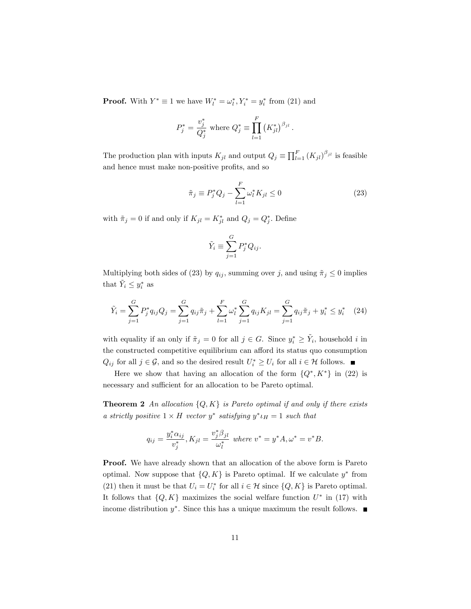**Proof.** With  $Y^* \equiv 1$  we have  $W_l^* = \omega_l^*, Y_i^* = y_i^*$  from (21) and

$$
P_j^* = \frac{v_j^*}{Q_j^*} \text{ where } Q_j^* \equiv \prod_{l=1}^F (K_{jl}^*)^{\beta_{jl}}.
$$

The production plan with inputs  $K_{jl}$  and output  $Q_j \equiv \prod_{l=1}^F (K_{jl})^{\beta_{jl}}$  is feasible and hence must make non-positive profits, and so

$$
\tilde{\pi}_j \equiv P_j^* Q_j - \sum_{l=1}^F \omega_l^* K_{jl} \le 0
$$
\n(23)

with  $\tilde{\pi}_j = 0$  if and only if  $K_{jl} = K_{jl}^*$  and  $Q_j = Q_j^*$ . Define

$$
\tilde{Y}_i \equiv \sum_{j=1}^G P_j^* Q_{ij}.
$$

Multiplying both sides of (23) by  $q_{ij}$ , summing over j, and using  $\tilde{\pi}_j \leq 0$  implies that  $\tilde{Y}_i \leq y_i^*$  as

$$
\tilde{Y}_i = \sum_{j=1}^G P_j^* q_{ij} Q_j = \sum_{j=1}^G q_{ij} \tilde{\pi}_j + \sum_{l=1}^F \omega_l^* \sum_{j=1}^G q_{ij} K_{jl} = \sum_{j=1}^G q_{ij} \tilde{\pi}_j + y_i^* \le y_i^* \quad (24)
$$

with equality if an only if  $\tilde{\pi}_j = 0$  for all  $j \in G$ . Since  $y_i^* \ge \tilde{Y}_i$ , household i in the constructed competitive equilibrium can afford its status quo consumption  $Q_{ij}$  for all  $j \in \mathcal{G}$ , and so the desired result  $U_i^* \geq U_i$  for all  $i \in \mathcal{H}$  follows.

Here we show that having an allocation of the form  $\{Q^*, K^*\}$  in (22) is necessary and sufficient for an allocation to be Pareto optimal.

**Theorem 2** An allocation  $\{Q, K\}$  is Pareto optimal if and only if there exists a strictly positive  $1 \times H$  vector  $y^*$  satisfying  $y^* \iota_H = 1$  such that

$$
q_{ij} = \frac{y_i^* \alpha_{ij}}{v_j^*}, K_{jl} = \frac{v_j^* \beta_{jl}}{\omega_l^*} \text{ where } v^* = y^* A, \omega^* = v^* B.
$$

Proof. We have already shown that an allocation of the above form is Pareto optimal. Now suppose that  $\{Q, K\}$  is Pareto optimal. If we calculate  $y^*$  from (21) then it must be that  $U_i = U_i^*$  for all  $i \in \mathcal{H}$  since  $\{Q, K\}$  is Pareto optimal. It follows that  $\{Q, K\}$  maximizes the social welfare function  $U^*$  in (17) with income distribution  $y^*$ . Since this has a unique maximum the result follows.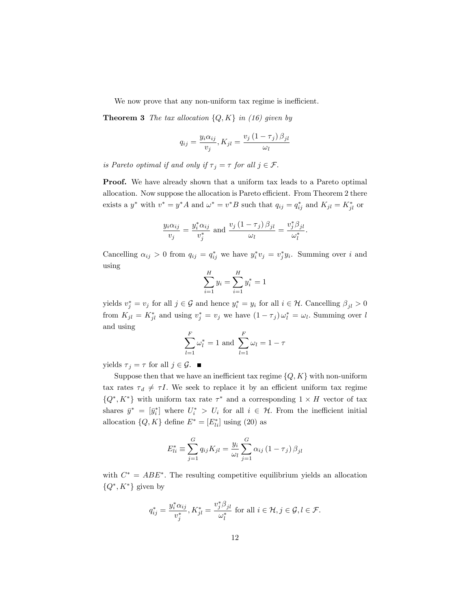We now prove that any non-uniform tax regime is inefficient.

**Theorem 3** The tax allocation  $\{Q, K\}$  in (16) given by

$$
q_{ij} = \frac{y_i \alpha_{ij}}{v_j}, K_{jl} = \frac{v_j (1 - \tau_j) \beta_{jl}}{\omega_l}
$$

is Pareto optimal if and only if  $\tau_j = \tau$  for all  $j \in \mathcal{F}$ .

Proof. We have already shown that a uniform tax leads to a Pareto optimal allocation. Now suppose the allocation is Pareto efficient. From Theorem 2 there exists a  $y^*$  with  $v^* = y^*A$  and  $\omega^* = v^*B$  such that  $q_{ij} = q_{ij}^*$  and  $K_{jl} = K_{jl}^*$  or

$$
\frac{y_i \alpha_{ij}}{v_j} = \frac{y_i^* \alpha_{ij}}{v_j^*} \text{ and } \frac{v_j (1 - \tau_j) \beta_{jl}}{\omega_l} = \frac{v_j^* \beta_{jl}}{\omega_l^*}.
$$

Cancelling  $\alpha_{ij} > 0$  from  $q_{ij} = q_{ij}^*$  we have  $y_i^* v_j = v_j^* y_i$ . Summing over i and using

$$
\sum_{i=1}^{H} y_i = \sum_{i=1}^{H} y_i^* = 1
$$

yields  $v_j^* = v_j$  for all  $j \in \mathcal{G}$  and hence  $y_i^* = y_i$  for all  $i \in \mathcal{H}$ . Cancelling  $\beta_{jl} > 0$ from  $K_{jl} = K_{jl}^*$  and using  $v_j^* = v_j$  we have  $(1 - \tau_j) \omega_l^* = \omega_l$ . Summing over l and using

$$
\sum_{l=1}^{F} \omega_l^* = 1 \text{ and } \sum_{l=1}^{F} \omega_l = 1 - \tau
$$

yields  $\tau_j = \tau$  for all  $j \in \mathcal{G}$ .

Suppose then that we have an inefficient tax regime  $\{Q, K\}$  with non-uniform tax rates  $\tau_d \neq \tau I$ . We seek to replace it by an efficient uniform tax regime  $\{Q^*, K^*\}$  with uniform tax rate  $\tau^*$  and a corresponding  $1 \times H$  vector of tax shares  $\bar{y}^* = [\bar{y}_i^*]$  where  $U_i^* > U_i$  for all  $i \in \mathcal{H}$ . From the inefficient initial allocation  $\{Q, K\}$  define  $E^* = [E_{li}^*]$  using  $(20)$  as

$$
E_{li}^{*} \equiv \sum_{j=1}^{G} q_{ij} K_{jl} = \frac{y_i}{\omega_l} \sum_{j=1}^{G} \alpha_{ij} (1 - \tau_j) \beta_{jl}
$$

with  $C^* = ABE^*$ . The resulting competitive equilibrium yields an allocation  $\{Q^*, K^*\}$  given by

$$
q_{ij}^* = \frac{y_i^* \alpha_{ij}}{v_j^*}, K_{jl}^* = \frac{v_j^* \beta_{jl}}{\omega_l^*} \text{ for all } i \in \mathcal{H}, j \in \mathcal{G}, l \in \mathcal{F}.
$$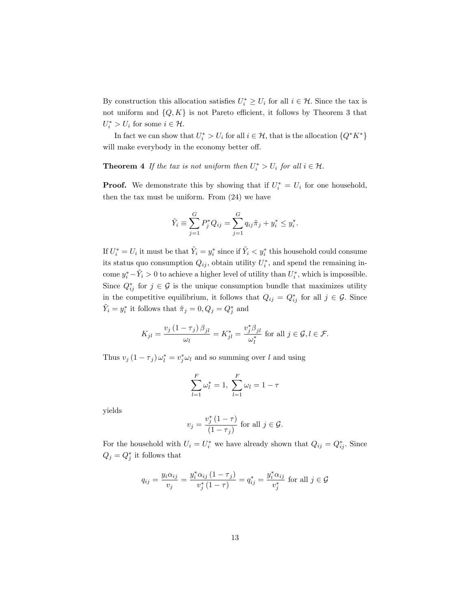By construction this allocation satisfies  $U_i^* \geq U_i$  for all  $i \in \mathcal{H}$ . Since the tax is not uniform and  $\{Q, K\}$  is not Pareto efficient, it follows by Theorem 3 that  $U_i^* > U_i$  for some  $i \in \mathcal{H}$ .

In fact we can show that  $U_i^* > U_i$  for all  $i \in \mathcal{H}$ , that is the allocation  $\{Q^*K^*\}$ will make everybody in the economy better off.

**Theorem 4** If the tax is not uniform then  $U_i^* > U_i$  for all  $i \in \mathcal{H}$ .

**Proof.** We demonstrate this by showing that if  $U_i^* = U_i$  for one household, then the tax must be uniform. From (24) we have

$$
\tilde{Y}_i \equiv \sum_{j=1}^G P_j^* Q_{ij} = \sum_{j=1}^G q_{ij} \tilde{\pi}_j + y_i^* \le y_i^*.
$$

If  $U_i^* = U_i$  it must be that  $\tilde{Y}_i = y_i^*$  since if  $\tilde{Y}_i < y_i^*$  this household could consume its status quo consumption  $Q_{ij}$ , obtain utility  $U_i^*$ , and spend the remaining income  $y_i^* - \tilde{Y}_i > 0$  to achieve a higher level of utility than  $U_i^*$ , which is impossible. Since  $Q_{ij}^*$  for  $j \in \mathcal{G}$  is the unique consumption bundle that maximizes utility in the competitive equilibrium, it follows that  $Q_{ij} = Q_{ij}^*$  for all  $j \in \mathcal{G}$ . Since  $\tilde{Y}_i = y_i^*$  it follows that  $\tilde{\pi}_j = 0, Q_j = Q_j^*$  and

$$
K_{jl} = \frac{v_j (1 - \tau_j) \beta_{jl}}{\omega_l} = K_{jl}^* = \frac{v_j^* \beta_{jl}}{\omega_l^*} \text{ for all } j \in \mathcal{G}, l \in \mathcal{F}.
$$

Thus  $v_j (1 - \tau_j) \omega_l^* = v_j^* \omega_l$  and so summing over l and using

$$
\sum_{l=1}^{F} \omega_l^* = 1, \ \sum_{l=1}^{F} \omega_l = 1 - \tau
$$

yields

$$
v_j = \frac{v_j^*(1-\tau)}{(1-\tau_j)}
$$
 for all  $j \in \mathcal{G}$ .

For the household with  $U_i = U_i^*$  we have already shown that  $Q_{ij} = Q_{ij}^*$ . Since  $Q_j = Q_j^*$  it follows that

$$
q_{ij} = \frac{y_i \alpha_{ij}}{v_j} = \frac{y_i^* \alpha_{ij} (1 - \tau_j)}{v_j^* (1 - \tau)} = q_{ij}^* = \frac{y_i^* \alpha_{ij}}{v_j^*}
$$
 for all  $j \in \mathcal{G}$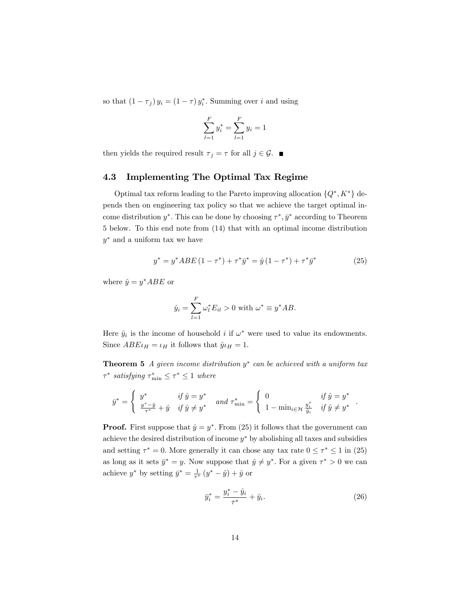so that  $(1 - \tau_j) y_i = (1 - \tau) y_i^*$ . Summing over i and using

$$
\sum_{l=1}^{F} y_i^* = \sum_{l=1}^{F} y_i = 1
$$

then yields the required result  $\tau_j = \tau$  for all  $j \in \mathcal{G}$ .

### 4.3 Implementing The Optimal Tax Regime

Optimal tax reform leading to the Pareto improving allocation  $\{Q^*, K^*\}$  depends then on engineering tax policy so that we achieve the target optimal income distribution  $y^*$ . This can be done by choosing  $\tau^*, \bar{y}^*$  according to Theorem 5 below. To this end note from (14) that with an optimal income distribution  $y^*$  and a uniform tax we have

$$
y^* = y^* A B E (1 - \tau^*) + \tau^* \bar{y}^* = \hat{y} (1 - \tau^*) + \tau^* \bar{y}^* \tag{25}
$$

where  $\hat{y} = y^* A B E$  or

$$
\hat{y}_i = \sum_{l=1}^F \omega_l^* E_{il} > 0 \text{ with } \omega^* \equiv y^* AB.
$$

Here  $\hat{y}_i$  is the income of household i if  $\omega^*$  were used to value its endowments. Since  $ABE\iota_H = \iota_H$  it follows that  $\hat{y}\iota_H = 1$ .

**Theorem 5** A given income distribution  $y^*$  can be achieved with a uniform tax  $\tau^*$  satisfying  $\tau^*_{\min} \leq \tau^* \leq 1$  where

$$
\bar{y}^* = \begin{cases} y^* & \text{if } \hat{y} = y^* \\ \frac{y^* - \hat{y}}{\tau^*} + \hat{y} & \text{if } \hat{y} \neq y^* \end{cases} \quad \text{and } \tau^*_{\min} = \begin{cases} 0 & \text{if } \hat{y} = y^* \\ 1 - \min_{i \in \mathcal{H}} \frac{y_i^*}{\hat{y}_i} & \text{if } \hat{y} \neq y^* \end{cases}
$$

**Proof.** First suppose that  $\hat{y} = y^*$ . From (25) it follows that the government can achieve the desired distribution of income  $y^*$  by abolishing all taxes and subsidies and setting  $\tau^* = 0$ . More generally it can chose any tax rate  $0 \le \tau^* \le 1$  in (25) as long as it sets  $\bar{y}^* = y$ . Now suppose that  $\hat{y} \neq y^*$ . For a given  $\tau^* > 0$  we can achieve  $y^*$  by setting  $\bar{y}^* = \frac{1}{\tau^*} (y^* - \hat{y}) + \hat{y}$  or

$$
\bar{y}_i^* = \frac{y_i^* - \hat{y}_i}{\tau^*} + \hat{y}_i.
$$
\n(26)

: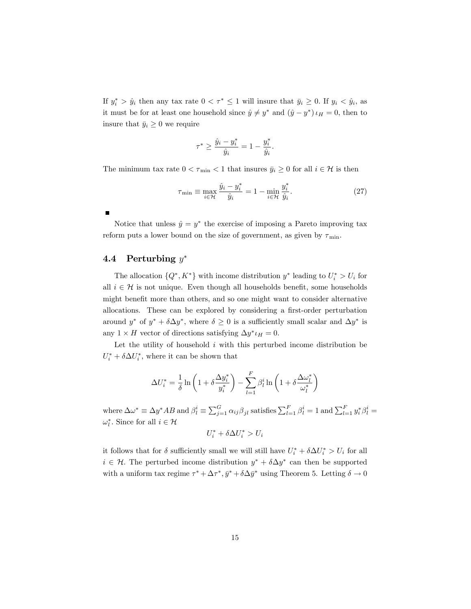If  $y_i^* > \hat{y}_i$  then any tax rate  $0 < \tau^* \leq 1$  will insure that  $\bar{y}_i \geq 0$ . If  $y_i < \hat{y}_i$ , as it must be for at least one household since  $\hat{y} \neq y^*$  and  $(\hat{y} - y^*) \iota_H = 0$ , then to insure that  $\bar{y}_i \geq 0$  we require

$$
\tau^* \ge \frac{\hat{y}_i - y_i^*}{\hat{y}_i} = 1 - \frac{y_i^*}{\hat{y}_i}.
$$

The minimum tax rate  $0 < \tau_{\min} < 1$  that insures  $\bar{y}_i \geq 0$  for all  $i \in \mathcal{H}$  is then

$$
\tau_{\min} \equiv \max_{i \in \mathcal{H}} \frac{\hat{y}_i - y_i^*}{\hat{y}_i} = 1 - \min_{i \in \mathcal{H}} \frac{y_i^*}{\hat{y}_i}.\tag{27}
$$

Notice that unless  $\hat{y} = y^*$  the exercise of imposing a Pareto improving tax reform puts a lower bound on the size of government, as given by  $\tau_{\min}$ .

### 4.4 Perturbing  $y^*$

The allocation  $\{Q^*, K^*\}$  with income distribution  $y^*$  leading to  $U_i^* > U_i$  for all  $i \in \mathcal{H}$  is not unique. Even though all households benefit, some households might benefit more than others, and so one might want to consider alternative allocations. These can be explored by considering a first-order perturbation around  $y^*$  of  $y^* + \delta \Delta y^*$ , where  $\delta \geq 0$  is a sufficiently small scalar and  $\Delta y^*$  is any  $1 \times H$  vector of directions satisfying  $\Delta y^* \iota_H = 0$ .

Let the utility of household  $i$  with this perturbed income distribution be  $U_i^* + \delta \Delta U_i^*$ , where it can be shown that

$$
\Delta U_i^* = \frac{1}{\delta} \ln \left( 1 + \delta \frac{\Delta y_i^*}{y_i^*} \right) - \sum_{l=1}^F \beta_l^i \ln \left( 1 + \delta \frac{\Delta \omega_l^*}{\omega_l^*} \right)
$$

where  $\Delta \omega^* \equiv \Delta y^* AB$  and  $\beta_l^i \equiv \sum_{j=1}^G \alpha_{ij} \beta_{jl}$  satisfies  $\sum_{l=1}^F \beta_l^i = 1$  and  $\sum_{l=1}^F y_i^* \beta_l^i = 1$  $\omega_l^*$ . Since for all  $i \in \mathcal{H}$ 

$$
U_i^* + \delta \Delta U_i^* > U_i
$$

it follows that for  $\delta$  sufficiently small we will still have  $U_i^* + \delta \Delta U_i^* > U_i$  for all  $i \in \mathcal{H}$ . The perturbed income distribution  $y^* + \delta \Delta y^*$  can then be supported with a uniform tax regime  $\tau^* + \Delta \tau^*, \bar{y}^* + \delta \Delta \bar{y}^*$  using Theorem 5. Letting  $\delta \to 0$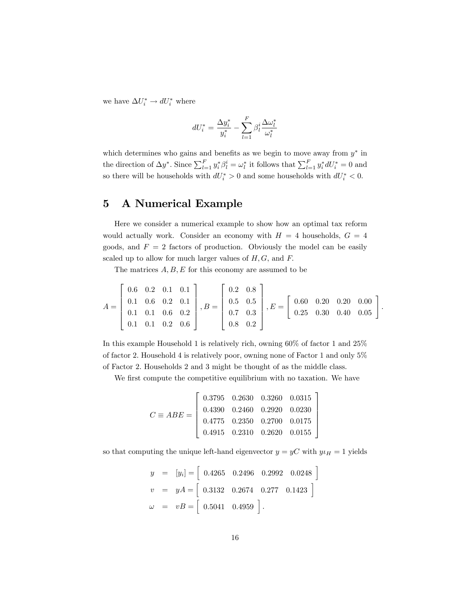we have  $\Delta U_i^* \rightarrow dU_i^*$  where

$$
dU^*_i = \frac{\Delta y^*_i}{y^*_i} - \sum_{l=1}^F \beta^i_l \frac{\Delta \omega^*_l}{\omega^*_l}
$$

which determines who gains and benefits as we begin to move away from  $y^*$  in the direction of  $\Delta y^*$ . Since  $\sum_{l=1}^F y^*_i \beta^i_l = \omega^*_l$  it follows that  $\sum_{l=1}^F y^*_i dU^*_i = 0$  and so there will be households with  $dU_i^* > 0$  and some households with  $dU_i^* < 0$ .

# 5 A Numerical Example

Here we consider a numerical example to show how an optimal tax reform would actually work. Consider an economy with  $H = 4$  households,  $G = 4$ goods, and  $F = 2$  factors of production. Obviously the model can be easily scaled up to allow for much larger values of  $H, G$ , and  $F$ .

The matrices  $A, B, E$  for this economy are assumed to be

$$
A = \begin{bmatrix} 0.6 & 0.2 & 0.1 & 0.1 \\ 0.1 & 0.6 & 0.2 & 0.1 \\ 0.1 & 0.1 & 0.6 & 0.2 \\ 0.1 & 0.1 & 0.2 & 0.6 \end{bmatrix}, B = \begin{bmatrix} 0.2 & 0.8 \\ 0.5 & 0.5 \\ 0.7 & 0.3 \\ 0.8 & 0.2 \end{bmatrix}, E = \begin{bmatrix} 0.60 & 0.20 & 0.20 & 0.00 \\ 0.25 & 0.30 & 0.40 & 0.05 \end{bmatrix}
$$

:

3  $\mathbf{1}$  $\overline{1}$  $\overline{1}$  $\overline{1}$  $\overline{1}$ 

In this example Household 1 is relatively rich, owning 60% of factor 1 and 25% of factor 2. Household 4 is relatively poor, owning none of Factor 1 and only  $5\%$ of Factor 2: Households 2 and 3 might be thought of as the middle class.

We first compute the competitive equilibrium with no taxation. We have

$$
C \equiv ABE = \begin{bmatrix} 0.3795 & 0.2630 & 0.3260 & 0.0315 \\ 0.4390 & 0.2460 & 0.2920 & 0.0230 \\ 0.4775 & 0.2350 & 0.2700 & 0.0175 \\ 0.4915 & 0.2310 & 0.2620 & 0.0155 \end{bmatrix}
$$

so that computing the unique left-hand eigenvector  $y = yC$  with  $y\iota_H = 1$  yields

$$
y = [y_i] = [0.4265 \quad 0.2496 \quad 0.2992 \quad 0.0248]
$$
  
\n
$$
v = yA = [0.3132 \quad 0.2674 \quad 0.277 \quad 0.1423]
$$
  
\n
$$
\omega = vB = [0.5041 \quad 0.4959].
$$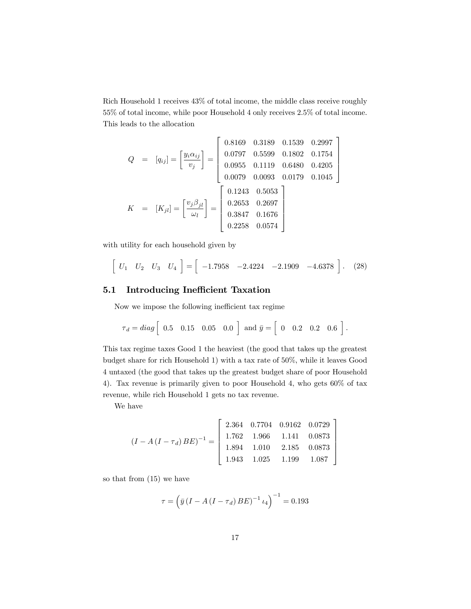Rich Household 1 receives 43% of total income, the middle class receive roughly 55% of total income, while poor Household 4 only receives 2:5% of total income. This leads to the allocation

$$
Q = [q_{ij}] = \begin{bmatrix} y_i \alpha_{ij} \\ v_j \end{bmatrix} = \begin{bmatrix} 0.8169 & 0.3189 & 0.1539 & 0.2997 \\ 0.0797 & 0.5599 & 0.1802 & 0.1754 \\ 0.0955 & 0.1119 & 0.6480 & 0.4205 \\ 0.0079 & 0.0093 & 0.0179 & 0.1045 \end{bmatrix}
$$

$$
K = [K_{jl}] = \begin{bmatrix} v_j \beta_{jl} \\ \omega_l \end{bmatrix} = \begin{bmatrix} 0.1243 & 0.5053 \\ 0.2653 & 0.2697 \\ 0.3847 & 0.1676 \\ 0.2258 & 0.0574 \end{bmatrix}
$$

with utility for each household given by

$$
\left[\begin{array}{cccccc}\nU_1 & U_2 & U_3 & U_4\n\end{array}\right] = \left[\begin{array}{cccccc}-1.7958 & -2.4224 & -2.1909 & -4.6378\end{array}\right].\tag{28}
$$

### 5.1 Introducing Inefficient Taxation

Now we impose the following inefficient tax regime

$$
\tau_d = diag \left[ \begin{array}{cccc} 0.5 & 0.15 & 0.05 & 0.0 \end{array} \right] \text{ and } \bar{y} = \left[ \begin{array}{cccc} 0 & 0.2 & 0.2 & 0.6 \end{array} \right].
$$

This tax regime taxes Good 1 the heaviest (the good that takes up the greatest budget share for rich Household 1) with a tax rate of 50%; while it leaves Good 4 untaxed (the good that takes up the greatest budget share of poor Household 4). Tax revenue is primarily given to poor Household 4, who gets 60% of tax revenue, while rich Household 1 gets no tax revenue.

We have

$$
(I - A (I - \tau_d) BE)^{-1} = \begin{bmatrix} 2.364 & 0.7704 & 0.9162 & 0.0729 \\ 1.762 & 1.966 & 1.141 & 0.0873 \\ 1.894 & 1.010 & 2.185 & 0.0873 \\ 1.943 & 1.025 & 1.199 & 1.087 \end{bmatrix}
$$

so that from (15) we have

$$
\tau = \left(\bar{y} \left(I - A \left(I - \tau_d\right) BE\right)^{-1} \iota_4\right)^{-1} = 0.193
$$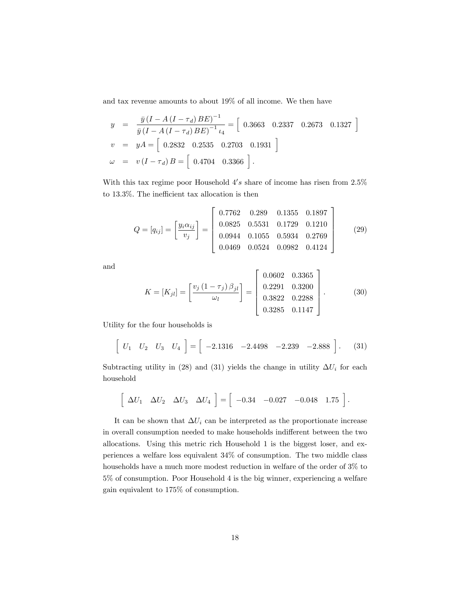and tax revenue amounts to about 19% of all income. We then have

$$
y = \frac{\bar{y}(I - A(I - \tau_d)BE)^{-1}}{\bar{y}(I - A(I - \tau_d)BE)^{-1} \iota_4} = [0.3663 \quad 0.2337 \quad 0.2673 \quad 0.1327]
$$
  
\n
$$
v = yA = [0.2832 \quad 0.2535 \quad 0.2703 \quad 0.1931]
$$
  
\n
$$
\omega = v(I - \tau_d)B = [0.4704 \quad 0.3366]
$$
.

With this tax regime poor Household  $4's$  share of income has risen from  $2.5\%$ to  $13.3\%$ . The inefficient tax allocation is then

$$
Q = [q_{ij}] = \begin{bmatrix} y_i \alpha_{ij} \\ v_j \end{bmatrix} = \begin{bmatrix} 0.7762 & 0.289 & 0.1355 & 0.1897 \\ 0.0825 & 0.5531 & 0.1729 & 0.1210 \\ 0.0944 & 0.1055 & 0.5934 & 0.2769 \\ 0.0469 & 0.0524 & 0.0982 & 0.4124 \end{bmatrix}
$$
(29)

and

$$
K = [K_{jl}] = \left[\frac{v_j (1 - \tau_j) \beta_{jl}}{\omega_l}\right] = \left[\begin{array}{ccc} 0.0602 & 0.3365 \\ 0.2291 & 0.3200 \\ 0.3822 & 0.2288 \\ 0.3285 & 0.1147 \end{array}\right].
$$
 (30)

Utility for the four households is

$$
\begin{bmatrix} U_1 & U_2 & U_3 & U_4 \end{bmatrix} = \begin{bmatrix} -2.1316 & -2.4498 & -2.239 & -2.888 \end{bmatrix}.
$$
 (31)

Subtracting utility in (28) and (31) yields the change in utility  $\Delta U_i$  for each household

$$
\left[\begin{array}{cccc}\Delta U_1 & \Delta U_2 & \Delta U_3 & \Delta U_4\end{array}\right] = \left[\begin{array}{cccc}-0.34 & -0.027 & -0.048 & 1.75\end{array}\right].
$$

It can be shown that  $\Delta U_i$  can be interpreted as the proportionate increase in overall consumption needed to make households indifferent between the two allocations. Using this metric rich Household 1 is the biggest loser, and experiences a welfare loss equivalent 34% of consumption. The two middle class households have a much more modest reduction in welfare of the order of 3% to 5% of consumption. Poor Household 4 is the big winner, experiencing a welfare gain equivalent to 175% of consumption.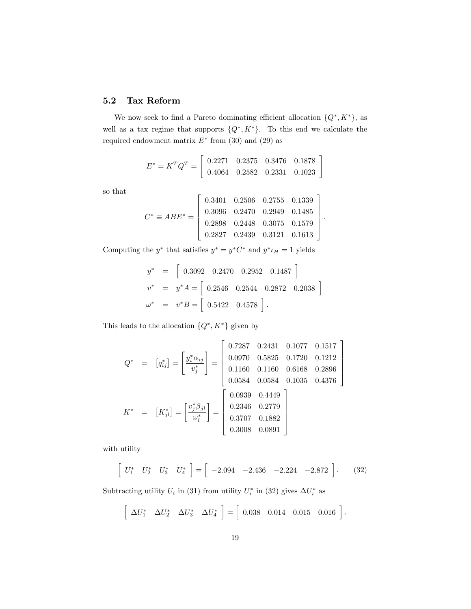### 5.2 Tax Reform

We now seek to find a Pareto dominating efficient allocation  $\{Q^*, K^*\}$ , as well as a tax regime that supports  $\{Q^*, K^*\}$ . To this end we calculate the required endowment matrix  $E^*$  from (30) and (29) as

$$
E^* = K^T Q^T = \begin{bmatrix} 0.2271 & 0.2375 & 0.3476 & 0.1878 \\ 0.4064 & 0.2582 & 0.2331 & 0.1023 \end{bmatrix}
$$

so that

$$
C^* \equiv ABE^* = \begin{bmatrix} 0.3401 & 0.2506 & 0.2755 & 0.1339 \\ 0.3096 & 0.2470 & 0.2949 & 0.1485 \\ 0.2898 & 0.2448 & 0.3075 & 0.1579 \\ 0.2827 & 0.2439 & 0.3121 & 0.1613 \end{bmatrix}
$$

:

Computing the  $y^*$  that satisfies  $y^* = y^* C^*$  and  $y^* \iota_H = 1$  yields

$$
y^* = [ 0.3092 \quad 0.2470 \quad 0.2952 \quad 0.1487 ]
$$
  

$$
v^* = y^* A = [ 0.2546 \quad 0.2544 \quad 0.2872 \quad 0.2038 ]
$$
  

$$
\omega^* = v^* B = [ 0.5422 \quad 0.4578 ].
$$

This leads to the allocation  $\{Q^*, K^*\}$  given by

$$
Q^* = [q_{ij}^*] = \begin{bmatrix} \frac{y_i^* \alpha_{ij}}{v_j^*} \end{bmatrix} = \begin{bmatrix} 0.7287 & 0.2431 & 0.1077 & 0.1517 \\ 0.0970 & 0.5825 & 0.1720 & 0.1212 \\ 0.1160 & 0.1160 & 0.6168 & 0.2896 \\ 0.0584 & 0.0584 & 0.1035 & 0.4376 \end{bmatrix}
$$

$$
K^* = [K_{jl}^*] = \begin{bmatrix} \frac{v_j^* \beta_{jl}}{\omega_l^*} \end{bmatrix} = \begin{bmatrix} 0.0939 & 0.4449 \\ 0.2346 & 0.2779 \\ 0.3707 & 0.1882 \\ 0.3008 & 0.0891 \end{bmatrix}
$$

with utility

$$
\left[\begin{array}{cccc} U_1^* & U_2^* & U_3^* & U_4^* \end{array}\right] = \left[\begin{array}{cccc} -2.094 & -2.436 & -2.224 & -2.872 \end{array}\right].\tag{32}
$$

Subtracting utility  $U_i$  in (31) from utility  $U_i^*$  in (32) gives  $\Delta U_i^*$  as

$$
\left[\begin{array}{cc}\Delta U_1^* & \Delta U_2^* & \Delta U_3^* & \Delta U_4^*\end{array}\right] = \left[\begin{array}{cc}0.038 & 0.014 & 0.015 & 0.016\end{array}\right].
$$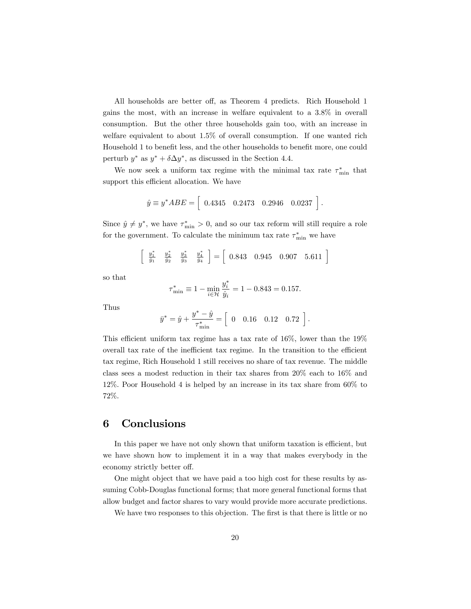All households are better off, as Theorem 4 predicts. Rich Household 1 gains the most, with an increase in welfare equivalent to a 3:8% in overall consumption. But the other three households gain too, with an increase in welfare equivalent to about 1:5% of overall consumption. If one wanted rich Household 1 to benefit less, and the other households to benefit more, one could perturb  $y^*$  as  $y^* + \delta \Delta y^*$ , as discussed in the Section 4.4.

We now seek a uniform tax regime with the minimal tax rate  $\tau^*_{\min}$  that support this efficient allocation. We have

$$
\hat{y} \equiv y^* A B E = \begin{bmatrix} 0.4345 & 0.2473 & 0.2946 & 0.0237 \end{bmatrix}.
$$

Since  $\hat{y} \neq y^*$ , we have  $\tau^*_{\min} > 0$ , and so our tax reform will still require a role for the government. To calculate the minimum tax rate  $\tau^*_{\min}$  we have

$$
\left[\begin{array}{cc} \frac{y_1^*}{\hat{y}_1} & \frac{y_2^*}{\hat{y}_2} & \frac{y_3^*}{\hat{y}_3} & \frac{y_4^*}{\hat{y}_4} \end{array}\right] = \left[\begin{array}{cccc} 0.843 & 0.945 & 0.907 & 5.611 \end{array}\right]
$$

so that

$$
\tau_{\min}^* \equiv 1 - \min_{i \in \mathcal{H}} \frac{y_i^*}{\hat{y}_i} = 1 - 0.843 = 0.157.
$$

Thus

$$
\bar{y}^* = \hat{y} + \frac{y^* - \hat{y}}{\tau^*_{\min}} = \left[ \begin{array}{cccc} 0 & 0.16 & 0.12 & 0.72 \end{array} \right].
$$

This efficient uniform tax regime has a tax rate of  $16\%$ , lower than the  $19\%$ overall tax rate of the inefficient tax regime. In the transition to the efficient tax regime, Rich Household 1 still receives no share of tax revenue. The middle class sees a modest reduction in their tax shares from 20% each to 16% and 12%: Poor Household 4 is helped by an increase in its tax share from 60% to 72%:

### 6 Conclusions

In this paper we have not only shown that uniform taxation is efficient, but we have shown how to implement it in a way that makes everybody in the economy strictly better off.

One might object that we have paid a too high cost for these results by assuming Cobb-Douglas functional forms; that more general functional forms that allow budget and factor shares to vary would provide more accurate predictions.

We have two responses to this objection. The first is that there is little or no